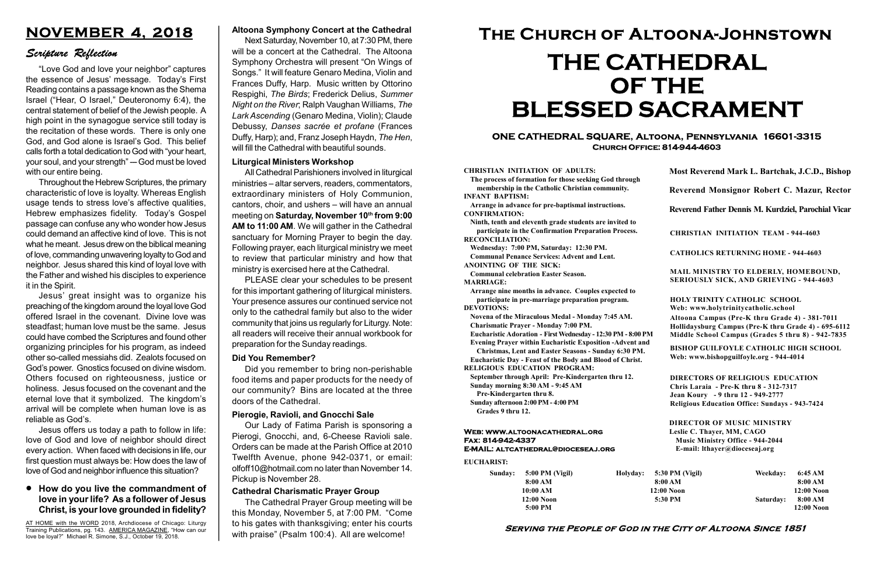#### Serving the People of God in the City of Altoona Since 1851

Sunday: 5:00 PM (Vigil) 8:00 AM 10:00 AM 12:00 Noon 5:00 PM

Holyday:

#### Web: www.altoonacathedral.org Fax: 814-942-4337 E-MAIL: altcathedral@dioceseaj.org

EUCHARIST:

#### CHRISTIAN INITIATION OF ADULTS:

The process of formation for those seeking God through membership in the Catholic Christian community. INFANT BAPTISM:

Arrange in advance for pre-baptismal instructions. CONFIRMATION:

Ninth, tenth and eleventh grade students are invited to participate in the Confirmation Preparation Process. RECONCILIATION:

Wednesday: 7:00 PM, Saturday: 12:30 PM. Communal Penance Services: Advent and Lent.

ANOINTING OF THE SICK:

Communal celebration Easter Season. MARRIAGE:

Arrange nine months in advance. Couples expected to participate in pre-marriage preparation program. DEVOTIONS:

Novena of the Miraculous Medal - Monday 7:45 AM.

Charismatic Prayer - Monday 7:00 PM. Eucharistic Adoration - First Wednesday - 12:30 PM - 8:00 PM

Evening Prayer within Eucharistic Exposition -Advent and

Christmas, Lent and Easter Seasons - Sunday 6:30 PM.

|                         | Most Reverend Mark L. Bartchak, J.C.D., Bishop<br>Reverend Monsignor Robert C. Mazur, Rector                                                                                    |           |                         |
|-------------------------|---------------------------------------------------------------------------------------------------------------------------------------------------------------------------------|-----------|-------------------------|
|                         |                                                                                                                                                                                 |           |                         |
|                         | Reverend Father Dennis M. Kurdziel, Parochial Vicar                                                                                                                             |           |                         |
|                         | <b>CHRISTIAN INITIATION TEAM - 944-4603</b>                                                                                                                                     |           |                         |
|                         | <b>CATHOLICS RETURNING HOME - 944-4603</b>                                                                                                                                      |           |                         |
|                         | MAIL MINISTRY TO ELDERLY, HOMEBOUND,<br><b>SERIOUSLY SICK, AND GRIEVING - 944-4603</b>                                                                                          |           |                         |
|                         | <b>HOLY TRINITY CATHOLIC SCHOOL</b><br>Web: www.holytrinitycatholic.school                                                                                                      |           |                         |
| М                       | Altoona Campus (Pre-K thru Grade 4) - 381-7011<br>Hollidaysburg Campus (Pre-K thru Grade 4) - 695-6112<br>Middle School Campus (Grades 5 thru 8) - 942-7835                     |           |                         |
| ł                       | <b>BISHOP GUILFOYLE CATHOLIC HIGH SCHOOL</b><br>Web: www.bishopguilfoyle.org - 944-4014                                                                                         |           |                         |
|                         | <b>DIRECTORS OF RELIGIOUS EDUCATION</b><br>Chris Laraia - Pre-K thru 8 - 312-7317<br>Jean Koury - 9 thru 12 - 949-2777<br><b>Religious Education Office: Sundays - 943-7424</b> |           |                         |
|                         | <b>DIRECTOR OF MUSIC MINISTRY</b><br>Leslie C. Thayer, MM, CAGO<br><b>Music Ministry Office - 944-2044</b><br>E-mail: lthayer@dioceseaj.org                                     |           |                         |
| 5:30 PM (Vigil)         |                                                                                                                                                                                 | Weekday:  | 6:45 AM                 |
| 8:00 AM<br>$12:00$ Noon |                                                                                                                                                                                 |           | 8:00 AM<br>12:00 Noon   |
|                         | 5:30 PM                                                                                                                                                                         | Saturday: | 8:00 AM<br>$12:00$ Noon |
|                         |                                                                                                                                                                                 |           |                         |

Eucharistic Day - Feast of the Body and Blood of Christ.

RELIGIOUS EDUCATION PROGRAM: September through April: Pre-Kindergarten thru 12.

Sunday morning 8:30 AM - 9:45 AM

Pre-Kindergarten thru 8.

Sunday afternoon 2:00 PM - 4:00 PM Grades 9 thru 12.

#### ONE CATHEDRAL SQUARE, Altoona, Pennsylvania 16601-3315 Church Office: 814-944-4603

# The Church of Altoona-Johnstown THE CATHEDRAL OF THE BLESSED SACRAMENT

#### Liturgical Ministers Workshop

All Cathedral Parishioners involved in liturgical ministries – altar servers, readers, commentators, extraordinary ministers of Holy Communion, cantors, choir, and ushers – will have an annual meeting on Saturday, November 10th from 9:00 AM to 11:00 AM. We will gather in the Cathedral sanctuary for Morning Prayer to begin the day. Following prayer, each liturgical ministry we meet to review that particular ministry and how that ministry is exercised here at the Cathedral.

AT HOME with the WORD 2018, Archdiocese of Chicago: Liturgy Training Publications, pg. 143. AMERICA MAGAZINE, "How can our love be loyal?" Michael R. Simone, S.J., October 19, 2018.

PLEASE clear your schedules to be present for this important gathering of liturgical ministers. Your presence assures our continued service not only to the cathedral family but also to the wider community that joins us regularly for Liturgy. Note: all readers will receive their annual workbook for preparation for the Sunday readings.

#### Pierogie, Ravioli, and Gnocchi Sale

Our Lady of Fatima Parish is sponsoring a Pierogi, Gnocchi, and, 6-Cheese Ravioli sale. Orders can be made at the Parish Office at 2010 Twelfth Avenue, phone 942-0371, or email: olfoff10@hotmail.com no later than November 14. Pickup is November 28.

#### Cathedral Charismatic Prayer Group

The Cathedral Prayer Group meeting will be this Monday, November 5, at 7:00 PM. "Come to his gates with thanksgiving; enter his courts with praise" (Psalm 100:4). All are welcome!

#### Did You Remember?

Did you remember to bring non-perishable food items and paper products for the needy of our community? Bins are located at the three doors of the Cathedral.

#### How do you live the commandment of love in your life? As a follower of Jesus Christ, is your love grounded in fidelity?

## NOVEMBER 4, 2018

#### Scripture Reflection

"Love God and love your neighbor" captures the essence of Jesus' message. Today's First Reading contains a passage known as the Shema Israel ("Hear, O Israel," Deuteronomy 6:4), the central statement of belief of the Jewish people. A high point in the synagogue service still today is the recitation of these words. There is only one God, and God alone is Israel's God. This belief calls forth a total dedication to God with "your heart, your soul, and your strength" - God must be loved with our entire being.

Throughout the Hebrew Scriptures, the primary characteristic of love is loyalty. Whereas English usage tends to stress love's affective qualities, Hebrew emphasizes fidelity. Today's Gospel passage can confuse any who wonder how Jesus could demand an affective kind of love. This is not what he meant. Jesus drew on the biblical meaning of love, commanding unwavering loyalty to God and neighbor. Jesus shared this kind of loyal love with the Father and wished his disciples to experience it in the Spirit.

Jesus' great insight was to organize his preaching of the kingdom around the loyal love God offered Israel in the covenant. Divine love was steadfast; human love must be the same. Jesus could have combed the Scriptures and found other organizing principles for his program, as indeed other so-called messiahs did. Zealots focused on God's power. Gnostics focused on divine wisdom. Others focused on righteousness, justice or holiness. Jesus focused on the covenant and the eternal love that it symbolized. The kingdom's arrival will be complete when human love is as reliable as God's.

Jesus offers us today a path to follow in life: love of God and love of neighbor should direct every action. When faced with decisions in life, our first question must always be: How does the law of love of God and neighbor influence this situation?

#### Altoona Symphony Concert at the Cathedral

Next Saturday, November 10, at 7:30 PM, there will be a concert at the Cathedral. The Altoona Symphony Orchestra will present "On Wings of Songs." It will feature Genaro Medina, Violin and Frances Duffy, Harp. Music written by Ottorino Respighi, The Birds; Frederick Delius, Summer Night on the River; Ralph Vaughan Williams, The Lark Ascending (Genaro Medina, Violin); Claude Debussy, Danses sacrée et profane (Frances Duffy, Harp); and, Franz Joseph Haydn, The Hen, will fill the Cathedral with beautiful sounds.